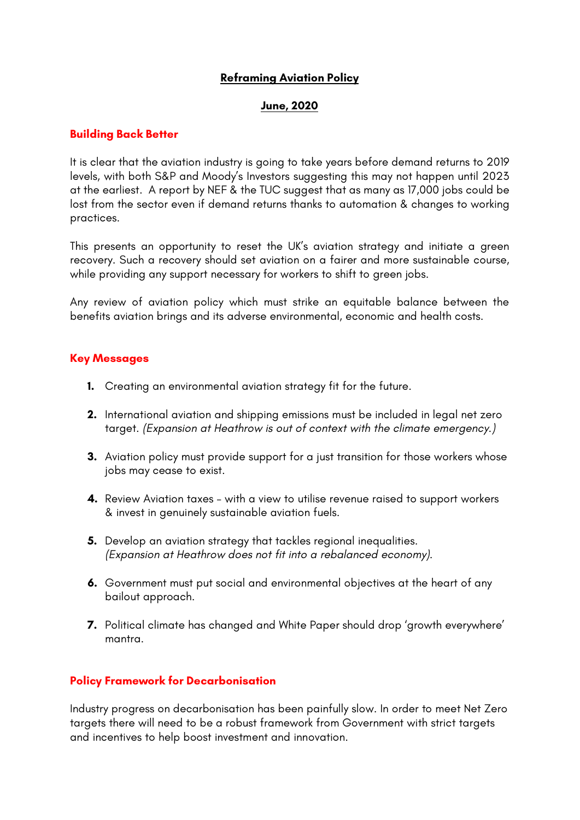## **Reframing Aviation Policy**

#### **June, 2020**

#### **Building Back Better**

It is clear that the aviation industry is going to take years before demand returns to 2019 levels, with both S&P and Moody's Investors suggesting this may not happen until 2023 at the earliest. A report by NEF & the TUC suggest that as many as 17,000 jobs could be lost from the sector even if demand returns thanks to automation & changes to working practices.

This presents an opportunity to reset the UK's aviation strategy and initiate a green recovery. Such a recovery should set aviation on a fairer and more sustainable course, while providing any support necessary for workers to shift to green jobs.

Any review of aviation policy which must strike an equitable balance between the benefits aviation brings and its adverse environmental, economic and health costs.

#### **Key Messages**

- **1.** Creating an environmental aviation strategy fit for the future.
- **2.** International aviation and shipping emissions must be included in legal net zero target. *(Expansion at Heathrow is out of context with the climate emergency.)*
- **3.** Aviation policy must provide support for a just transition for those workers whose jobs may cease to exist.
- **4.** Review Aviation taxes with a view to utilise revenue raised to support workers & invest in genuinely sustainable aviation fuels.
- **5.** Develop an aviation strategy that tackles regional inequalities. *(Expansion at Heathrow does not fit into a rebalanced economy).*
- **6.** Government must put social and environmental objectives at the heart of any bailout approach.
- **7.** Political climate has changed and White Paper should drop 'growth everywhere' mantra.

# **Policy Framework for Decarbonisation**

Industry progress on decarbonisation has been painfully slow. In order to meet Net Zero targets there will need to be a robust framework from Government with strict targets and incentives to help boost investment and innovation.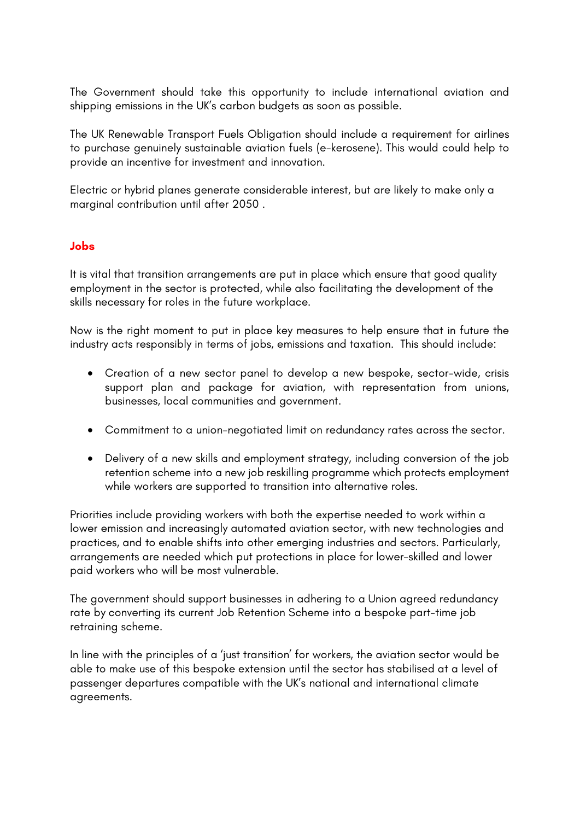The Government should take this opportunity to include international aviation and shipping emissions in the UK's carbon budgets as soon as possible.

The UK Renewable Transport Fuels Obligation should include a requirement for airlines to purchase genuinely sustainable aviation fuels (e-kerosene). This would could help to provide an incentive for investment and innovation.

Electric or hybrid planes generate considerable interest, but are likely to make only a marginal contribution until after 2050 .

## **Jobs**

It is vital that transition arrangements are put in place which ensure that good quality employment in the sector is protected, while also facilitating the development of the skills necessary for roles in the future workplace.

Now is the right moment to put in place key measures to help ensure that in future the industry acts responsibly in terms of jobs, emissions and taxation. This should include:

- Creation of a new sector panel to develop a new bespoke, sector-wide, crisis support plan and package for aviation, with representation from unions, businesses, local communities and government.
- Commitment to a union-negotiated limit on redundancy rates across the sector.
- Delivery of a new skills and employment strategy, including conversion of the job retention scheme into a new job reskilling programme which protects employment while workers are supported to transition into alternative roles.

Priorities include providing workers with both the expertise needed to work within a lower emission and increasingly automated aviation sector, with new technologies and practices, and to enable shifts into other emerging industries and sectors. Particularly, arrangements are needed which put protections in place for lower-skilled and lower paid workers who will be most vulnerable.

The government should support businesses in adhering to a Union agreed redundancy rate by converting its current Job Retention Scheme into a bespoke part-time job retraining scheme.

In line with the principles of a 'just transition' for workers, the aviation sector would be able to make use of this bespoke extension until the sector has stabilised at a level of passenger departures compatible with the UK's national and international climate agreements.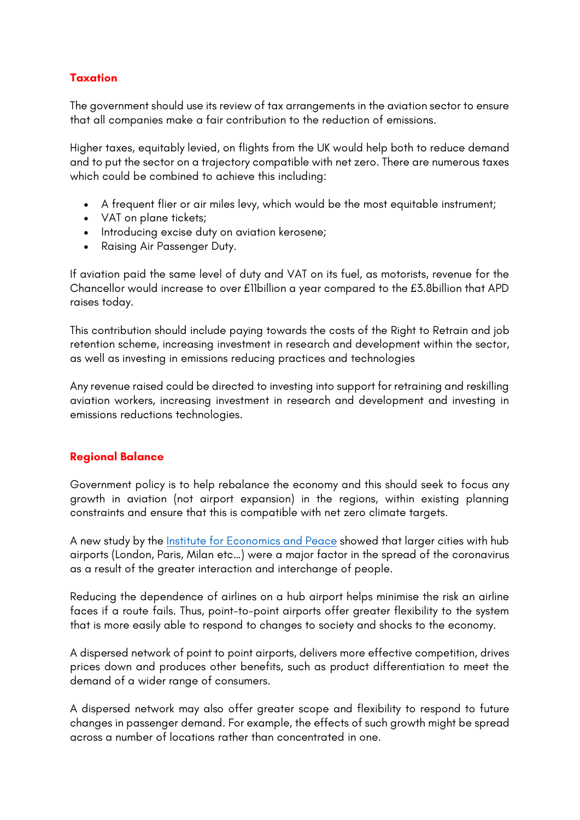# **Taxation**

The government should use its review of tax arrangements in the aviation sector to ensure that all companies make a fair contribution to the reduction of emissions.

Higher taxes, equitably levied, on flights from the UK would help both to reduce demand and to put the sector on a trajectory compatible with net zero. There are numerous taxes which could be combined to achieve this including:

- A frequent flier or air miles levy, which would be the most equitable instrument;
- VAT on plane tickets;
- Introducing excise duty on aviation kerosene;
- Raising Air Passenger Duty.

If aviation paid the same level of duty and VAT on its fuel, as motorists, revenue for the Chancellor would increase to over £11billion a year compared to the £3.8billion that APD raises today.

This contribution should include paying towards the costs of the Right to Retrain and job retention scheme, increasing investment in research and development within the sector, as well as investing in emissions reducing practices and technologies

Any revenue raised could be directed to investing into support for retraining and reskilling aviation workers, increasing investment in research and development and investing in emissions reductions technologies.

### **Regional Balance**

Government policy is to help rebalance the economy and this should seek to focus any growth in aviation (not airport expansion) in the regions, within existing planning constraints and ensure that this is compatible with net zero climate targets.

A new study by the Institute for Economics and Peace showed that larger cities with hub airports (London, Paris, Milan etc…) were a major factor in the spread of the coronavirus as a result of the greater interaction and interchange of people.

Reducing the dependence of airlines on a hub airport helps minimise the risk an airline faces if a route fails. Thus, point-to-point airports offer greater flexibility to the system that is more easily able to respond to changes to society and shocks to the economy.

A dispersed network of point to point airports, delivers more effective competition, drives prices down and produces other benefits, such as product differentiation to meet the demand of a wider range of consumers.

A dispersed network may also offer greater scope and flexibility to respond to future changes in passenger demand. For example, the effects of such growth might be spread across a number of locations rather than concentrated in one.